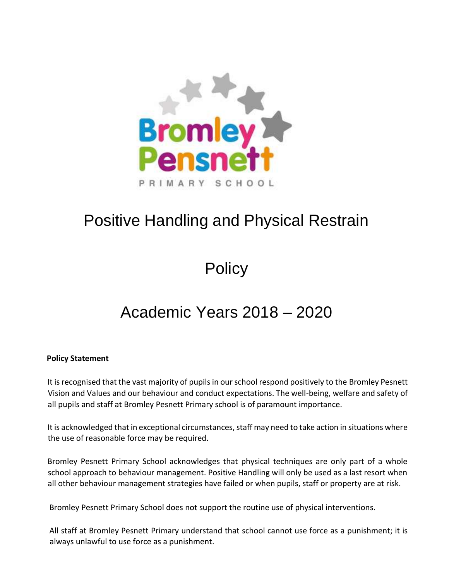

# Positive Handling and Physical Restrain

**Policy** 

# Academic Years 2018 – 2020

# **Policy Statement**

It is recognised that the vast majority of pupils in our school respond positively to the Bromley Pesnett Vision and Values and our behaviour and conduct expectations. The well-being, welfare and safety of all pupils and staff at Bromley Pesnett Primary school is of paramount importance.

It is acknowledged that in exceptional circumstances, staff may need to take action in situations where the use of reasonable force may be required.

Bromley Pesnett Primary School acknowledges that physical techniques are only part of a whole school approach to behaviour management. Positive Handling will only be used as a last resort when all other behaviour management strategies have failed or when pupils, staff or property are at risk.

Bromley Pesnett Primary School does not support the routine use of physical interventions.

All staff at Bromley Pesnett Primary understand that school cannot use force as a punishment; it is always unlawful to use force as a punishment.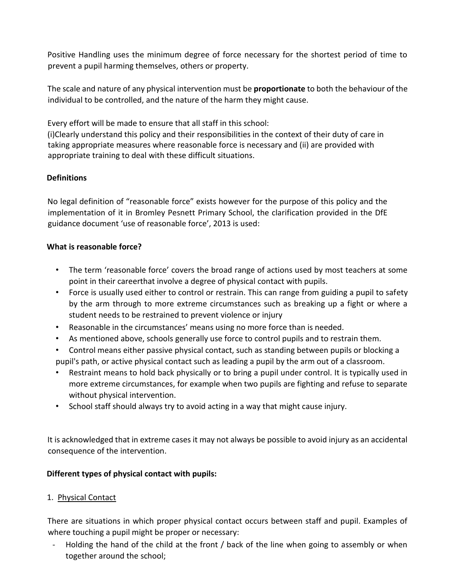Positive Handling uses the minimum degree of force necessary for the shortest period of time to prevent a pupil harming themselves, others or property.

The scale and nature of any physical intervention must be **proportionate** to both the behaviour of the individual to be controlled, and the nature of the harm they might cause.

Every effort will be made to ensure that all staff in this school:

(i)Clearly understand this policy and their responsibilities in the context of their duty of care in taking appropriate measures where reasonable force is necessary and (ii) are provided with appropriate training to deal with these difficult situations.

# **Definitions**

No legal definition of "reasonable force" exists however for the purpose of this policy and the implementation of it in Bromley Pesnett Primary School, the clarification provided in the DfE guidance document 'use of reasonable force', 2013 is used:

# **What is reasonable force?**

- The term 'reasonable force' covers the broad range of actions used by most teachers at some point in their careerthat involve a degree of physical contact with pupils.
- Force is usually used either to control or restrain. This can range from guiding a pupil to safety by the arm through to more extreme circumstances such as breaking up a fight or where a student needs to be restrained to prevent violence or injury
- Reasonable in the circumstances' means using no more force than is needed.
- As mentioned above, schools generally use force to control pupils and to restrain them.
- Control means either passive physical contact, such as standing between pupils or blocking a pupil's path, or active physical contact such as leading a pupil by the arm out of a classroom.
- Restraint means to hold back physically or to bring a pupil under control. It is typically used in more extreme circumstances, for example when two pupils are fighting and refuse to separate without physical intervention.
- School staff should always try to avoid acting in a way that might cause injury.

It is acknowledged that in extreme cases it may not always be possible to avoid injury as an accidental consequence of the intervention.

# **Different types of physical contact with pupils:**

# 1. Physical Contact

There are situations in which proper physical contact occurs between staff and pupil. Examples of where touching a pupil might be proper or necessary:

Holding the hand of the child at the front / back of the line when going to assembly or when together around the school;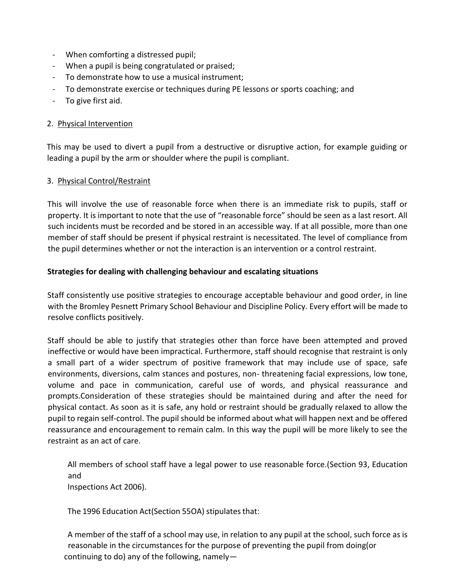- When comforting a distressed pupil;
- When a pupil is being congratulated or praised;
- To demonstrate how to use a musical instrument;
- To demonstrate exercise or techniques during PE lessons or sports coaching; and
- To give first aid.

#### 2. Physical Intervention

This may be used to divert a pupil from a destructive or disruptive action, for example guiding or leading a pupil by the arm or shoulder where the pupil is compliant.

# 3. Physical Control/Restraint

This will involve the use of reasonable force when there is an immediate risk to pupils, staff or property. It is important to note that the use of "reasonable force" should be seen as a last resort. All such incidents must be recorded and be stored in an accessible way. If at all possible, more than one member of staff should be present if physical restraint is necessitated. The level of compliance from the pupil determines whether or not the interaction is an intervention or a control restraint.

#### **Strategies for dealing with challenging behaviour and escalating situations**

Staff consistently use positive strategies to encourage acceptable behaviour and good order, in line with the Bromley Pesnett Primary School Behaviour and Discipline Policy. Every effort will be made to resolve conflicts positively.

Staff should be able to justify that strategies other than force have been attempted and proved ineffective or would have been impractical. Furthermore, staff should recognise that restraint is only a small part of a wider spectrum of positive framework that may include use of space, safe environments, diversions, calm stances and postures, non- threatening facial expressions, low tone, volume and pace in communication, careful use of words, and physical reassurance and prompts.Consideration of these strategies should be maintained during and after the need for physical contact. As soon as it is safe, any hold or restraint should be gradually relaxed to allow the pupil to regain self-control. The pupil should be informed about what will happen next and be offered reassurance and encouragement to remain calm. In this way the pupil will be more likely to see the restraint as an act of care.

All members of school staff have a legal power to use reasonable force.(Section 93, Education and Inspections Act 2006).

The 1996 Education Act(Section 55OA) stipulates that:

A member of the staff of a school may use, in relation to any pupil at the school, such force as is reasonable in the circumstances for the purpose of preventing the pupil from doing(or continuing to do) any of the following, namely—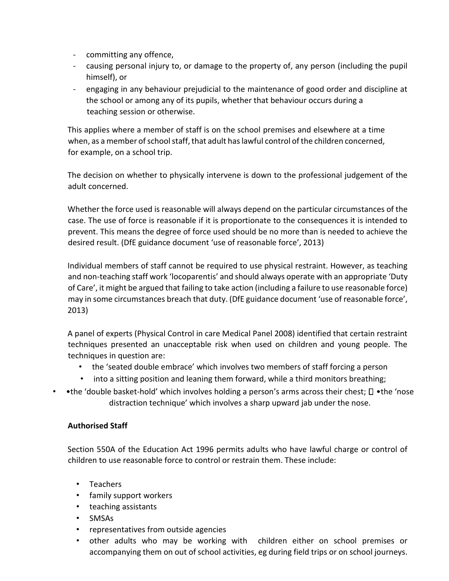- committing any offence,
- causing personal injury to, or damage to the property of, any person (including the pupil himself), or
- engaging in any behaviour prejudicial to the maintenance of good order and discipline at the school or among any of its pupils, whether that behaviour occurs during a teaching session or otherwise.

This applies where a member of staff is on the school premises and elsewhere at a time when, as a member of school staff, that adult has lawful control of the children concerned, for example, on a school trip.

The decision on whether to physically intervene is down to the professional judgement of the adult concerned.

Whether the force used is reasonable will always depend on the particular circumstances of the case. The use of force is reasonable if it is proportionate to the consequences it is intended to prevent. This means the degree of force used should be no more than is needed to achieve the desired result. (DfE guidance document 'use of reasonable force', 2013)

Individual members of staff cannot be required to use physical restraint. However, as teaching and non-teaching staff work 'locoparentis' and should always operate with an appropriate 'Duty of Care', it might be argued that failing to take action (including a failure to use reasonable force) may in some circumstances breach that duty. (DfE guidance document 'use of reasonable force', 2013)

A panel of experts (Physical Control in care Medical Panel 2008) identified that certain restraint techniques presented an unacceptable risk when used on children and young people. The techniques in question are:

- the 'seated double embrace' which involves two members of staff forcing a person
- into a sitting position and leaning them forward, while a third monitors breathing;
- •the 'double basket-hold' which involves holding a person's arms across their chest;  $\square$  •the 'nose distraction technique' which involves a sharp upward jab under the nose.

# **Authorised Staff**

Section 550A of the Education Act 1996 permits adults who have lawful charge or control of children to use reasonable force to control or restrain them. These include:

- Teachers
- family support workers
- teaching assistants
- SMSAs
- representatives from outside agencies
- other adults who may be working with children either on school premises or accompanying them on out of school activities, eg during field trips or on school journeys.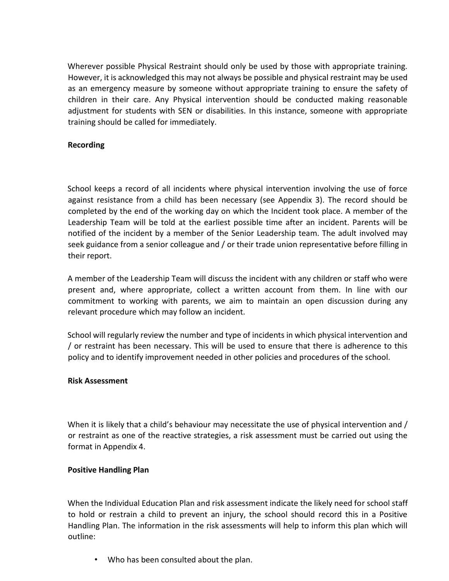Wherever possible Physical Restraint should only be used by those with appropriate training. However, it is acknowledged this may not always be possible and physical restraint may be used as an emergency measure by someone without appropriate training to ensure the safety of children in their care. Any Physical intervention should be conducted making reasonable adjustment for students with SEN or disabilities. In this instance, someone with appropriate training should be called for immediately.

#### **Recording**

School keeps a record of all incidents where physical intervention involving the use of force against resistance from a child has been necessary (see Appendix 3). The record should be completed by the end of the working day on which the Incident took place. A member of the Leadership Team will be told at the earliest possible time after an incident. Parents will be notified of the incident by a member of the Senior Leadership team. The adult involved may seek guidance from a senior colleague and / or their trade union representative before filling in their report.

A member of the Leadership Team will discuss the incident with any children or staff who were present and, where appropriate, collect a written account from them. In line with our commitment to working with parents, we aim to maintain an open discussion during any relevant procedure which may follow an incident.

School will regularly review the number and type of incidents in which physical intervention and / or restraint has been necessary. This will be used to ensure that there is adherence to this policy and to identify improvement needed in other policies and procedures of the school.

#### **Risk Assessment**

When it is likely that a child's behaviour may necessitate the use of physical intervention and / or restraint as one of the reactive strategies, a risk assessment must be carried out using the format in Appendix 4.

#### **Positive Handling Plan**

When the Individual Education Plan and risk assessment indicate the likely need for school staff to hold or restrain a child to prevent an injury, the school should record this in a Positive Handling Plan. The information in the risk assessments will help to inform this plan which will outline:

• Who has been consulted about the plan.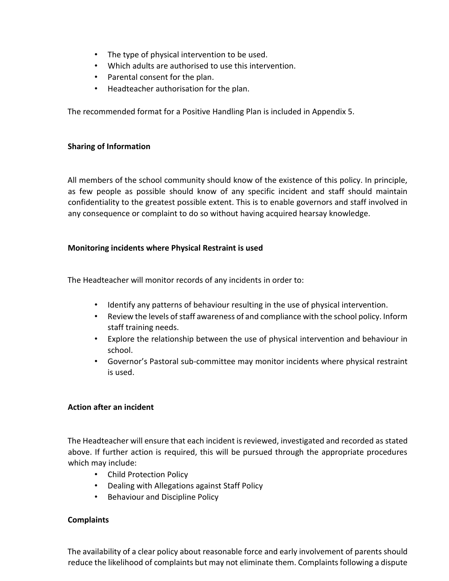- The type of physical intervention to be used.
- Which adults are authorised to use this intervention.
- Parental consent for the plan.
- Headteacher authorisation for the plan.

The recommended format for a Positive Handling Plan is included in Appendix 5.

# **Sharing of Information**

All members of the school community should know of the existence of this policy. In principle, as few people as possible should know of any specific incident and staff should maintain confidentiality to the greatest possible extent. This is to enable governors and staff involved in any consequence or complaint to do so without having acquired hearsay knowledge.

# **Monitoring incidents where Physical Restraint is used**

The Headteacher will monitor records of any incidents in order to:

- Identify any patterns of behaviour resulting in the use of physical intervention.
- Review the levels of staff awareness of and compliance with the school policy. Inform staff training needs.
- Explore the relationship between the use of physical intervention and behaviour in school.
- Governor's Pastoral sub-committee may monitor incidents where physical restraint is used.

# **Action after an incident**

The Headteacher will ensure that each incident is reviewed, investigated and recorded as stated above. If further action is required, this will be pursued through the appropriate procedures which may include:

- Child Protection Policy
- Dealing with Allegations against Staff Policy
- Behaviour and Discipline Policy

# **Complaints**

The availability of a clear policy about reasonable force and early involvement of parents should reduce the likelihood of complaints but may not eliminate them. Complaints following a dispute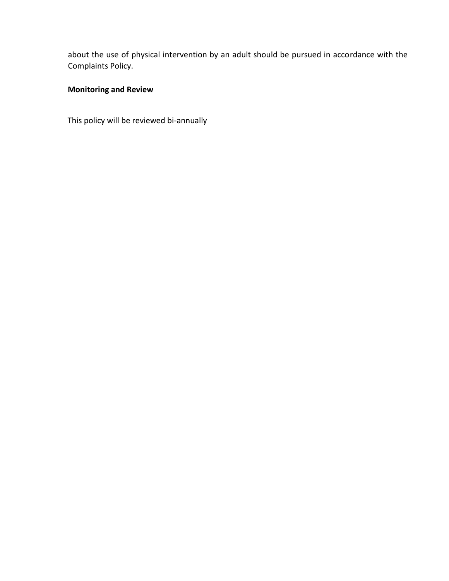about the use of physical intervention by an adult should be pursued in accordance with the Complaints Policy.

# **Monitoring and Review**

This policy will be reviewed bi-annually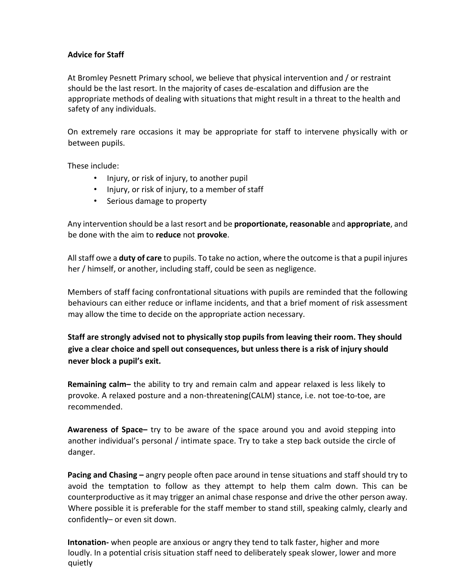#### **Advice for Staff**

At Bromley Pesnett Primary school, we believe that physical intervention and / or restraint should be the last resort. In the majority of cases de-escalation and diffusion are the appropriate methods of dealing with situations that might result in a threat to the health and safety of any individuals.

On extremely rare occasions it may be appropriate for staff to intervene physically with or between pupils.

These include:

- Injury, or risk of injury, to another pupil
- Injury, or risk of injury, to a member of staff
- Serious damage to property

Any intervention should be a last resort and be **proportionate, reasonable** and **appropriate**, and be done with the aim to **reduce** not **provoke**.

All staff owe a **duty of care** to pupils. To take no action, where the outcome is that a pupil injures her / himself, or another, including staff, could be seen as negligence.

Members of staff facing confrontational situations with pupils are reminded that the following behaviours can either reduce or inflame incidents, and that a brief moment of risk assessment may allow the time to decide on the appropriate action necessary.

**Staff are strongly advised not to physically stop pupils from leaving their room. They should give a clear choice and spell out consequences, but unless there is a risk of injury should never block a pupil's exit.**

**Remaining calm–** the ability to try and remain calm and appear relaxed is less likely to provoke. A relaxed posture and a non-threatening(CALM) stance, i.e. not toe-to-toe, are recommended.

**Awareness of Space–** try to be aware of the space around you and avoid stepping into another individual's personal / intimate space. Try to take a step back outside the circle of danger.

**Pacing and Chasing –** angry people often pace around in tense situations and staff should try to avoid the temptation to follow as they attempt to help them calm down. This can be counterproductive as it may trigger an animal chase response and drive the other person away. Where possible it is preferable for the staff member to stand still, speaking calmly, clearly and confidently– or even sit down.

**Intonation-** when people are anxious or angry they tend to talk faster, higher and more loudly. In a potential crisis situation staff need to deliberately speak slower, lower and more quietly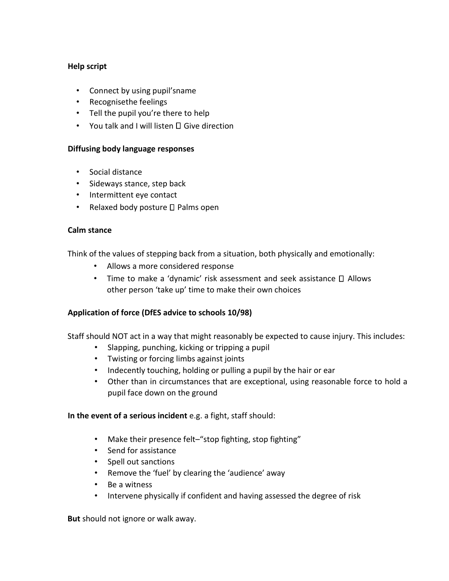#### **Help script**

- Connect by using pupil'sname
- Recognisethe feelings
- Tell the pupil you're there to help
- You talk and I will listen  $\square$  Give direction

#### **Diffusing body language responses**

- Social distance
- Sideways stance, step back
- Intermittent eye contact
- Relaxed body posture  $\square$  Palms open

#### **Calm stance**

Think of the values of stepping back from a situation, both physically and emotionally:

- Allows a more considered response
- Time to make a 'dynamic' risk assessment and seek assistance  $\square$  Allows other person 'take up' time to make their own choices

# **Application of force (DfES advice to schools 10/98)**

Staff should NOT act in a way that might reasonably be expected to cause injury. This includes:

- Slapping, punching, kicking or tripping a pupil
- Twisting or forcing limbs against joints
- Indecently touching, holding or pulling a pupil by the hair or ear
- Other than in circumstances that are exceptional, using reasonable force to hold a pupil face down on the ground

# **In the event of a serious incident** e.g. a fight, staff should:

- Make their presence felt–"stop fighting, stop fighting"
- Send for assistance
- Spell out sanctions
- Remove the 'fuel' by clearing the 'audience' away
- Be a witness
- Intervene physically if confident and having assessed the degree of risk

**But** should not ignore or walk away.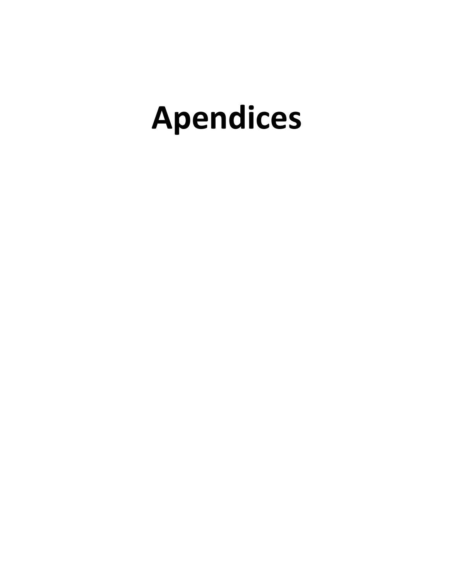# **Apendices**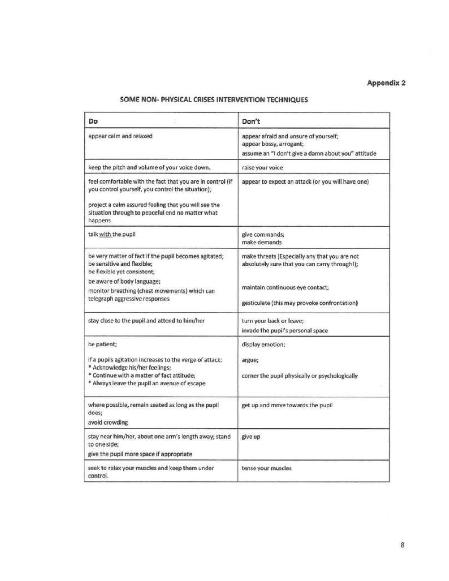# SOME NON- PHYSICAL CRISES INTERVENTION TECHNIQUES

| Do                                                                                                                                                                                                                                     | Don't                                                                                                                                                                              |
|----------------------------------------------------------------------------------------------------------------------------------------------------------------------------------------------------------------------------------------|------------------------------------------------------------------------------------------------------------------------------------------------------------------------------------|
| appear calm and relaxed                                                                                                                                                                                                                | appear afraid and unsure of yourself;<br>appear bossy, arrogant;<br>assume an "I don't give a damn about you" attitude                                                             |
| keep the pitch and volume of your voice down.                                                                                                                                                                                          | raise your voice                                                                                                                                                                   |
| feel comfortable with the fact that you are in control (if<br>you control yourself, you control the situation);<br>project a calm assured feeling that you will see the<br>situation through to peaceful end no matter what<br>happens | appear to expect an attack (or you will have one)                                                                                                                                  |
| talk with the pupil                                                                                                                                                                                                                    | give commands;<br>make demands                                                                                                                                                     |
| be very matter of fact if the pupil becomes agitated;<br>be sensitive and flexible;<br>be flexible yet consistent;<br>be aware of body language;<br>monitor breathing (chest movements) which can<br>telegraph aggressive responses    | make threats (Especially any that you are not<br>absolutely sure that you can carry through!);<br>maintain continuous eye contact;<br>gesticulate (this may provoke confrontation) |
| stay close to the pupil and attend to him/her                                                                                                                                                                                          | turn your back or leave;<br>invade the pupil's personal space                                                                                                                      |
| be patient;<br>if a pupils agitation increases to the verge of attack:<br>* Acknowledge his/her feelings;<br>* Continue with a matter of fact attitude;<br>* Always leave the pupil an avenue of escape                                | display emotion;<br>argue;<br>corner the pupil physically or psychologically                                                                                                       |
| where possible, remain seated as long as the pupil<br>does:<br>avoid crowding                                                                                                                                                          | get up and move towards the pupil                                                                                                                                                  |
| stay near him/her, about one arm's length away; stand<br>to one side;<br>give the pupil more space if appropriate                                                                                                                      | give up                                                                                                                                                                            |
| seek to relax your muscles and keep them under<br>control.                                                                                                                                                                             | tense your muscles                                                                                                                                                                 |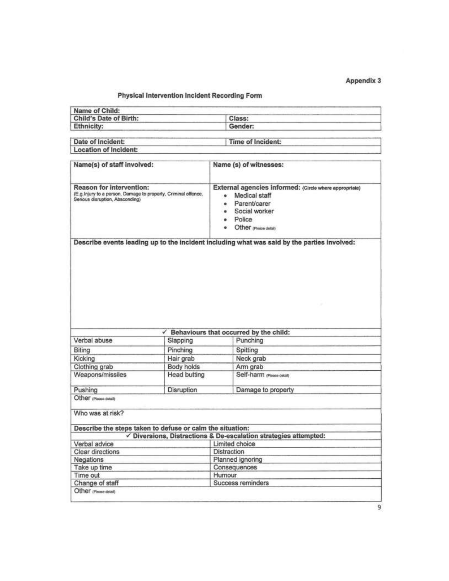#### Physical Intervention Incident Recording Form

| Name of Child:                |                   |
|-------------------------------|-------------------|
| <b>Child's Date of Birth:</b> | Class:            |
| Ethnicity:                    | Gender:           |
|                               |                   |
| Date of Incident:             | Time of Incident: |

| Location of Incident:      |                        |  |
|----------------------------|------------------------|--|
|                            |                        |  |
| Name(s) of staff involved: | Name (s) of witnesses: |  |

| Reason for intervention:<br>(E.g.Injury to a person, Damage to property, Criminal offence,<br>Serious disruption, Absconding)                              |                                   | External agencies informed: (Circle where appropriate)<br>Medical staff<br>e.<br>Parent/carer<br>$\bullet$<br>Social worker<br>۰<br>Police<br>$\bullet$<br>Other (Piease detail) |
|------------------------------------------------------------------------------------------------------------------------------------------------------------|-----------------------------------|----------------------------------------------------------------------------------------------------------------------------------------------------------------------------------|
|                                                                                                                                                            |                                   | Describe events leading up to the incident including what was said by the parties involved:                                                                                      |
|                                                                                                                                                            |                                   | Behaviours that occurred by the child:                                                                                                                                           |
|                                                                                                                                                            |                                   |                                                                                                                                                                                  |
|                                                                                                                                                            |                                   |                                                                                                                                                                                  |
|                                                                                                                                                            | Slapping                          | Punching                                                                                                                                                                         |
|                                                                                                                                                            | Pinching                          | Spitting                                                                                                                                                                         |
|                                                                                                                                                            | Hair grab                         | Neck grab                                                                                                                                                                        |
|                                                                                                                                                            | Body holds<br><b>Head butting</b> | Arm grab<br>Self-harm (Please detail)                                                                                                                                            |
| Verbal abuse<br>Biting<br>Kicking<br>Clothing grab<br>Weapons/missiles<br>Pushing                                                                          | Disruption                        |                                                                                                                                                                                  |
| Other (Please detail)                                                                                                                                      |                                   | Damage to property                                                                                                                                                               |
| Who was at risk?                                                                                                                                           |                                   |                                                                                                                                                                                  |
|                                                                                                                                                            |                                   |                                                                                                                                                                                  |
|                                                                                                                                                            |                                   | $\checkmark$ Diversions, Distractions & De-escalation strategies attempted:                                                                                                      |
|                                                                                                                                                            |                                   | Limited choice                                                                                                                                                                   |
|                                                                                                                                                            |                                   | Distraction                                                                                                                                                                      |
|                                                                                                                                                            |                                   | Planned ignoring                                                                                                                                                                 |
|                                                                                                                                                            |                                   | Consequences                                                                                                                                                                     |
| Describe the steps taken to defuse or calm the situation:<br>Verbal advice<br>Clear directions<br>Negations<br>Take up time<br>Time out<br>Change of staff |                                   | Humour<br>Success reminders                                                                                                                                                      |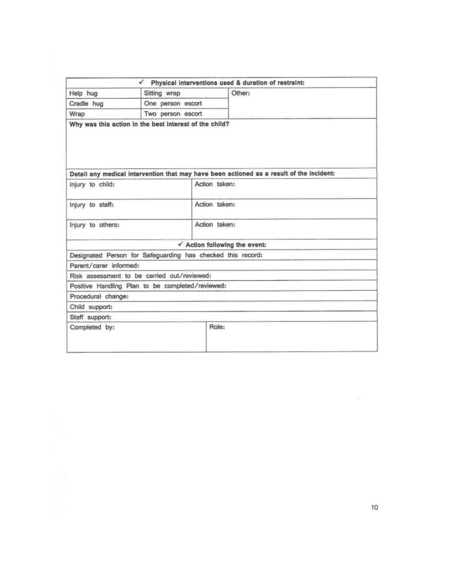|                        |                                                             | $\checkmark$ Physical interventions used & duration of restraint:                        |
|------------------------|-------------------------------------------------------------|------------------------------------------------------------------------------------------|
| Help hug               | Sitting wrap                                                | Other:                                                                                   |
| Cradle hug             | One person escort                                           |                                                                                          |
| Wrap                   | Two person escort                                           |                                                                                          |
|                        |                                                             | Detail any medical intervention that may have been actioned as a result of the incident: |
| Injury to child:       |                                                             | Action taken:                                                                            |
| Injury to staff:       |                                                             | Action taken:                                                                            |
| Injury to others:      |                                                             | Action taken:                                                                            |
|                        |                                                             | $\checkmark$ Action following the event:                                                 |
|                        | Designated Person for Safeguarding has checked this record: |                                                                                          |
| Parent/carer_informed: |                                                             |                                                                                          |
|                        | Risk assessment to be carried out/reviewed:                 |                                                                                          |
|                        | Positive Handling Plan to be completed/reviewed:            |                                                                                          |
| Procedural change:     |                                                             |                                                                                          |
|                        |                                                             |                                                                                          |
| Child support:         |                                                             |                                                                                          |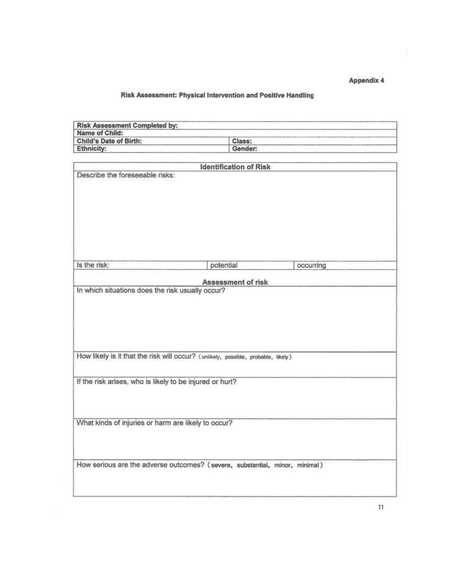# Risk Assessment: Physical Intervention and Positive Handling

| <b>Risk Assessment Completed by:</b><br>Name of Child:   |                                                                                   |           |
|----------------------------------------------------------|-----------------------------------------------------------------------------------|-----------|
| Child's Date of Birth:                                   | Class:                                                                            |           |
| <b>Ethnicity:</b>                                        | Gender:                                                                           |           |
|                                                          |                                                                                   |           |
|                                                          | <b>Identification of Risk</b>                                                     |           |
| Describe the foreseeable risks:                          |                                                                                   |           |
| Is the risk:                                             | potential                                                                         | occurring |
|                                                          |                                                                                   |           |
| In which situations does the risk usually occur?         | Assessment of risk                                                                |           |
|                                                          | How likely is it that the risk will occur? (unlikely, possible, probable, likely) |           |
| If the risk arises, who is likely to be injured or hurt? |                                                                                   |           |
| What kinds of injuries or harm are likely to occur?      |                                                                                   |           |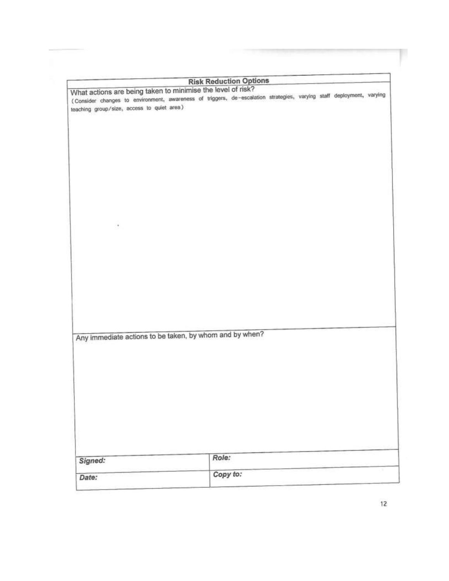|                                                                                                                                                                                                                                   | <b>Risk Reduction Options</b> |  |  |  |
|-----------------------------------------------------------------------------------------------------------------------------------------------------------------------------------------------------------------------------------|-------------------------------|--|--|--|
| What actions are being taken to minimise the level of risk?<br>(Consider changes to environment, awareness of triggers, de-escalation strategies, varying staff deployment, varying<br>teaching group/size, access to quiet area) |                               |  |  |  |
|                                                                                                                                                                                                                                   |                               |  |  |  |
|                                                                                                                                                                                                                                   |                               |  |  |  |
| ٠                                                                                                                                                                                                                                 |                               |  |  |  |
|                                                                                                                                                                                                                                   |                               |  |  |  |
|                                                                                                                                                                                                                                   |                               |  |  |  |
| Any immediate actions to be taken, by whom and by when?                                                                                                                                                                           |                               |  |  |  |
|                                                                                                                                                                                                                                   |                               |  |  |  |
|                                                                                                                                                                                                                                   |                               |  |  |  |
| Signed:                                                                                                                                                                                                                           | Role:                         |  |  |  |
| Date:                                                                                                                                                                                                                             | Copy to:                      |  |  |  |

p.